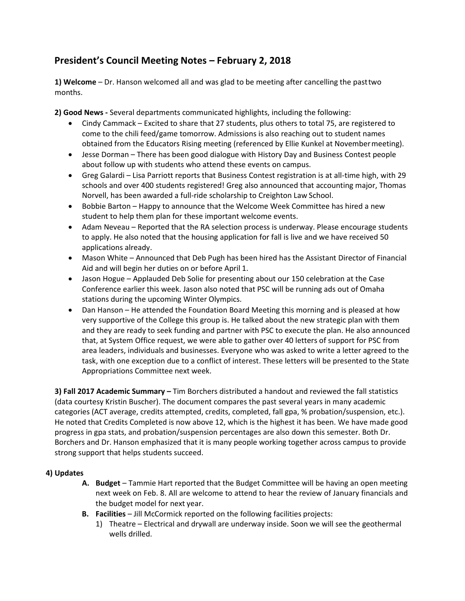## **President's Council Meeting Notes – February 2, 2018**

**1) Welcome** – Dr. Hanson welcomed all and was glad to be meeting after cancelling the pasttwo months.

**2) Good News -** Several departments communicated highlights, including the following:

- · Cindy Cammack Excited to share that 27 students, plus others to total 75, are registered to come to the chili feed/game tomorrow. Admissions is also reaching out to student names obtained from the Educators Rising meeting (referenced by Ellie Kunkel at Novembermeeting).
- · Jesse Dorman There has been good dialogue with History Day and Business Contest people about follow up with students who attend these events on campus.
- · Greg Galardi Lisa Parriott reports that Business Contest registration is at all-time high, with 29 schools and over 400 students registered! Greg also announced that accounting major, Thomas Norvell, has been awarded a full-ride scholarship to Creighton Law School.
- · Bobbie Barton Happy to announce that the Welcome Week Committee has hired a new student to help them plan for these important welcome events.
- · Adam Neveau Reported that the RA selection process is underway. Please encourage students to apply. He also noted that the housing application for fall is live and we have received 50 applications already.
- · Mason White Announced that Deb Pugh has been hired has the Assistant Director of Financial Aid and will begin her duties on or before April 1.
- · Jason Hogue Applauded Deb Solie for presenting about our 150 celebration at the Case Conference earlier this week. Jason also noted that PSC will be running ads out of Omaha stations during the upcoming Winter Olympics.
- · Dan Hanson He attended the Foundation Board Meeting this morning and is pleased at how very supportive of the College this group is. He talked about the new strategic plan with them and they are ready to seek funding and partner with PSC to execute the plan. He also announced that, at System Office request, we were able to gather over 40 letters of support for PSC from area leaders, individuals and businesses. Everyone who was asked to write a letter agreed to the task, with one exception due to a conflict of interest. These letters will be presented to the State Appropriations Committee next week.

**3) Fall 2017 Academic Summary –** Tim Borchers distributed a handout and reviewed the fall statistics (data courtesy Kristin Buscher). The document compares the past several years in many academic categories (ACT average, credits attempted, credits, completed, fall gpa, % probation/suspension, etc.). He noted that Credits Completed is now above 12, which is the highest it has been. We have made good progress in gpa stats, and probation/suspension percentages are also down this semester. Both Dr. Borchers and Dr. Hanson emphasized that it is many people working together across campus to provide strong support that helps students succeed.

## **4) Updates**

- **A. Budget**  Tammie Hart reported that the Budget Committee will be having an open meeting next week on Feb. 8. All are welcome to attend to hear the review of January financials and the budget model for next year.
- **B. Facilities**  Jill McCormick reported on the following facilities projects:
	- 1) Theatre Electrical and drywall are underway inside. Soon we will see the geothermal wells drilled.